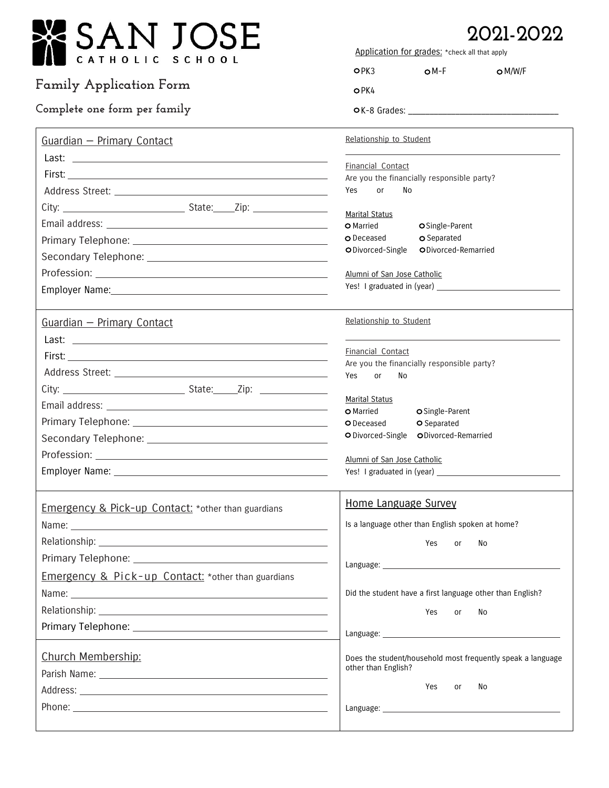| SAN JOSE!                                                     | 2021-2022<br>Application for grades: * check all that apply     |  |  |
|---------------------------------------------------------------|-----------------------------------------------------------------|--|--|
| HOLIC<br>SCHOOL                                               | $OM-F$<br>OPK3<br>$\bigcirc$ M/W/F                              |  |  |
| <b>Family Application Form</b>                                | OPK4                                                            |  |  |
| Complete one form per family                                  |                                                                 |  |  |
| Guardian - Primary Contact                                    | Relationship to Student                                         |  |  |
|                                                               | Financial Contact                                               |  |  |
|                                                               | Are you the financially responsible party?                      |  |  |
|                                                               | Yes<br>No<br>or                                                 |  |  |
|                                                               | <b>Marital Status</b>                                           |  |  |
|                                                               | O Married<br>OSingle-Parent                                     |  |  |
|                                                               | O Deceased<br>O Separated                                       |  |  |
|                                                               | ODivorced-Remarried<br>O Divorced-Single                        |  |  |
|                                                               | Alumni of San Jose Catholic                                     |  |  |
|                                                               |                                                                 |  |  |
|                                                               |                                                                 |  |  |
| Guardian - Primary Contact                                    | Relationship to Student                                         |  |  |
|                                                               |                                                                 |  |  |
|                                                               | Financial Contact<br>Are you the financially responsible party? |  |  |
|                                                               | Yes<br><b>or</b><br>No                                          |  |  |
|                                                               |                                                                 |  |  |
|                                                               | <b>Marital Status</b><br><b>O</b> Married                       |  |  |
|                                                               | O Single-Parent<br>O Separated<br>O Deceased                    |  |  |
|                                                               | O Divorced-Single ODivorced-Remarried                           |  |  |
|                                                               |                                                                 |  |  |
|                                                               | Alumni of San Jose Catholic                                     |  |  |
|                                                               | Home Language Survey                                            |  |  |
| Emergency & Pick-up Contact: * other than guardians           | Is a language other than English spoken at home?                |  |  |
|                                                               |                                                                 |  |  |
|                                                               | Yes<br>No<br><b>or</b>                                          |  |  |
|                                                               |                                                                 |  |  |
| <b>Emergency &amp; Pick-up Contact:</b> *other than guardians |                                                                 |  |  |
|                                                               | Did the student have a first language other than English?       |  |  |
|                                                               | Yes<br>No<br>or                                                 |  |  |
|                                                               |                                                                 |  |  |
| Church Membership:                                            | Does the student/household most frequently speak a language     |  |  |
|                                                               | other than English?                                             |  |  |
|                                                               | Yes<br>No<br>or                                                 |  |  |
|                                                               |                                                                 |  |  |
|                                                               |                                                                 |  |  |
|                                                               |                                                                 |  |  |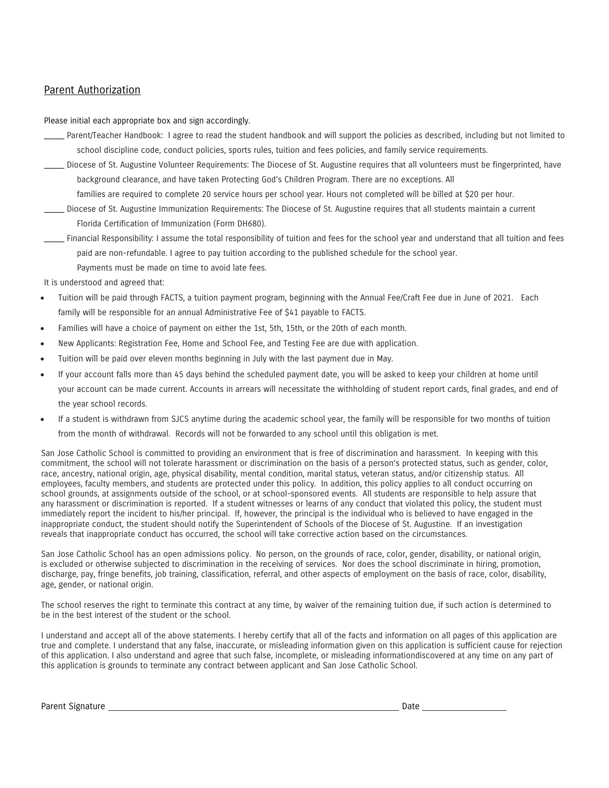### Parent Authorization

Please initial each appropriate box and sign accordingly.

- Parent/Teacher Handbook: I agree to read the student handbook and will support the policies as described, including but not limited to school discipline code, conduct policies, sports rules, tuition and fees policies, and family service requirements.
- \_\_\_\_\_ Diocese of St. Augustine Volunteer Requirements: The Diocese of St. Augustine requires that all volunteers must be fingerprinted, have background clearance, and have taken Protecting God's Children Program. There are no exceptions. All
	- families are required to complete 20 service hours per school year. Hours not completed will be billed at \$20 per hour.
- \_\_\_\_\_ Diocese of St. Augustine Immunization Requirements: The Diocese of St. Augustine requires that all students maintain a current Florida Certification of Immunization (Form DH680).
- \_\_\_\_\_ Financial Responsibility: I assume the total responsibility of tuition and fees for the school year and understand that all tuition and fees paid are non-refundable. I agree to pay tuition according to the published schedule for the school year.
	- Payments must be made on time to avoid late fees.

It is understood and agreed that:

- Tuition will be paid through FACTS, a tuition payment program, beginning with the Annual Fee/Craft Fee due in June of 2021. Each family will be responsible for an annual Administrative Fee of \$41 payable to FACTS.
- Families will have a choice of payment on either the 1st, 5th, 15th, or the 20th of each month.
- New Applicants: Registration Fee, Home and School Fee, and Testing Fee are due with application.
- Tuition will be paid over eleven months beginning in July with the last payment due in May.
- If your account falls more than 45 days behind the scheduled payment date, you will be asked to keep your children at home until your account can be made current. Accounts in arrears will necessitate the withholding of student report cards, final grades, and end of the year school records.
- If a student is withdrawn from SJCS anytime during the academic school year, the family will be responsible for two months of tuition from the month of withdrawal. Records will not be forwarded to any school until this obligation is met.

San Jose Catholic School is committed to providing an environment that is free of discrimination and harassment. In keeping with this commitment, the school will not tolerate harassment or discrimination on the basis of a person's protected status, such as gender, color, race, ancestry, national origin, age, physical disability, mental condition, marital status, veteran status, and/or citizenship status. All employees, faculty members, and students are protected under this policy. In addition, this policy applies to all conduct occurring on school grounds, at assignments outside of the school, or at school-sponsored events. All students are responsible to help assure that any harassment or discrimination is reported. If a student witnesses or learns of any conduct that violated this policy, the student must immediately report the incident to his/her principal. If, however, the principal is the individual who is believed to have engaged in the inappropriate conduct, the student should notify the Superintendent of Schools of the Diocese of St. Augustine. If an investigation reveals that inappropriate conduct has occurred, the school will take corrective action based on the circumstances.

San Jose Catholic School has an open admissions policy. No person, on the grounds of race, color, gender, disability, or national origin, is excluded or otherwise subjected to discrimination in the receiving of services. Nor does the school discriminate in hiring, promotion, discharge, pay, fringe benefits, job training, classification, referral, and other aspects of employment on the basis of race, color, disability, age, gender, or national origin.

The school reserves the right to terminate this contract at any time, by waiver of the remaining tuition due, if such action is determined to be in the best interest of the student or the school.

I understand and accept all of the above statements. I hereby certify that all of the facts and information on all pages of this application are true and complete. I understand that any false, inaccurate, or misleading information given on this application is sufficient cause for rejection of this application. I also understand and agree that such false, incomplete, or misleading informationdiscovered at any time on any part of this application is grounds to terminate any contract between applicant and San Jose Catholic School.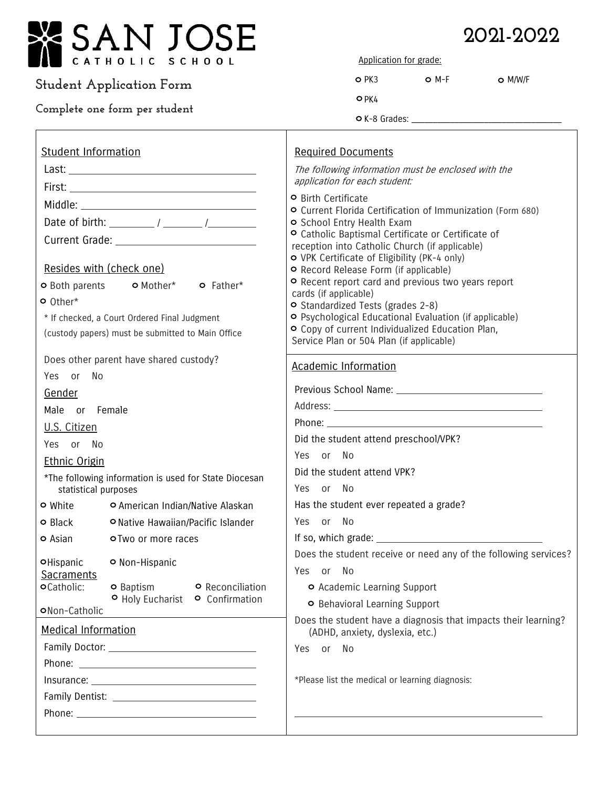

## **Student Application Form**

### **Complete one form per student**

# **2021-2022**

Application for grade:

| D PK3 | $O$ M-F | $O$ M/W/F |
|-------|---------|-----------|
| O PK4 |         |           |

 $\circ$  K-8 Grades:  $\_$ 

| <b>Student Information</b>                                                                                                                                                                           | <b>Required Documents</b>                                                                                                                                                                                                                                                                                                                                                 |  |
|------------------------------------------------------------------------------------------------------------------------------------------------------------------------------------------------------|---------------------------------------------------------------------------------------------------------------------------------------------------------------------------------------------------------------------------------------------------------------------------------------------------------------------------------------------------------------------------|--|
|                                                                                                                                                                                                      | The following information must be enclosed with the<br>application for each student:                                                                                                                                                                                                                                                                                      |  |
|                                                                                                                                                                                                      |                                                                                                                                                                                                                                                                                                                                                                           |  |
|                                                                                                                                                                                                      | <b>O</b> Birth Certificate<br>O Current Florida Certification of Immunization (Form 680)                                                                                                                                                                                                                                                                                  |  |
|                                                                                                                                                                                                      | o School Entry Health Exam                                                                                                                                                                                                                                                                                                                                                |  |
|                                                                                                                                                                                                      | O Catholic Baptismal Certificate or Certificate of                                                                                                                                                                                                                                                                                                                        |  |
| Resides with (check one)<br><b>o</b> Both parents <b>o</b> Mother* <b>o</b> Father*<br>o Other*<br>* If checked, a Court Ordered Final Judgment<br>(custody papers) must be submitted to Main Office | reception into Catholic Church (if applicable)<br>O VPK Certificate of Eligibility (PK-4 only)<br>O Record Release Form (if applicable)<br>O Recent report card and previous two years report<br>cards (if applicable)<br>O Standardized Tests (grades 2-8)<br>O Psychological Educational Evaluation (if applicable)<br>O Copy of current Individualized Education Plan, |  |
|                                                                                                                                                                                                      | Service Plan or 504 Plan (if applicable)                                                                                                                                                                                                                                                                                                                                  |  |
| Does other parent have shared custody?<br>Yes or<br>No                                                                                                                                               | <b>Academic Information</b>                                                                                                                                                                                                                                                                                                                                               |  |
| Gender                                                                                                                                                                                               |                                                                                                                                                                                                                                                                                                                                                                           |  |
| Male or Female                                                                                                                                                                                       |                                                                                                                                                                                                                                                                                                                                                                           |  |
| U.S. Citizen                                                                                                                                                                                         |                                                                                                                                                                                                                                                                                                                                                                           |  |
| Yes or No                                                                                                                                                                                            | Did the student attend preschool/VPK?                                                                                                                                                                                                                                                                                                                                     |  |
| <b>Ethnic Origin</b>                                                                                                                                                                                 | Yes or No                                                                                                                                                                                                                                                                                                                                                                 |  |
| *The following information is used for State Diocesan                                                                                                                                                | Did the student attend VPK?                                                                                                                                                                                                                                                                                                                                               |  |
| statistical purposes                                                                                                                                                                                 | Yes or No                                                                                                                                                                                                                                                                                                                                                                 |  |
| O American Indian/Native Alaskan<br><b>o</b> White                                                                                                                                                   | Has the student ever repeated a grade?                                                                                                                                                                                                                                                                                                                                    |  |
| <b>o</b> Black<br>O Native Hawaiian/Pacific Islander                                                                                                                                                 | Yes or No                                                                                                                                                                                                                                                                                                                                                                 |  |
| <b>o</b> Asian<br>o Two or more races                                                                                                                                                                |                                                                                                                                                                                                                                                                                                                                                                           |  |
| O Non-Hispanic<br><b>OHispanic</b>                                                                                                                                                                   | Does the student receive or need any of the following services?                                                                                                                                                                                                                                                                                                           |  |
| <b>Sacraments</b>                                                                                                                                                                                    | Yes or No                                                                                                                                                                                                                                                                                                                                                                 |  |
| <b>o</b> Catholic:<br><b>o</b> Baptism<br><b>O</b> Reconciliation<br>O Holy Eucharist O Confirmation                                                                                                 | O Academic Learning Support                                                                                                                                                                                                                                                                                                                                               |  |
| ONon-Catholic                                                                                                                                                                                        | O Behavioral Learning Support                                                                                                                                                                                                                                                                                                                                             |  |
| <b>Medical Information</b>                                                                                                                                                                           | Does the student have a diagnosis that impacts their learning?<br>(ADHD, anxiety, dyslexia, etc.)                                                                                                                                                                                                                                                                         |  |
|                                                                                                                                                                                                      | Yes or No                                                                                                                                                                                                                                                                                                                                                                 |  |
|                                                                                                                                                                                                      |                                                                                                                                                                                                                                                                                                                                                                           |  |
|                                                                                                                                                                                                      | *Please list the medical or learning diagnosis:                                                                                                                                                                                                                                                                                                                           |  |
|                                                                                                                                                                                                      |                                                                                                                                                                                                                                                                                                                                                                           |  |
|                                                                                                                                                                                                      |                                                                                                                                                                                                                                                                                                                                                                           |  |
|                                                                                                                                                                                                      |                                                                                                                                                                                                                                                                                                                                                                           |  |